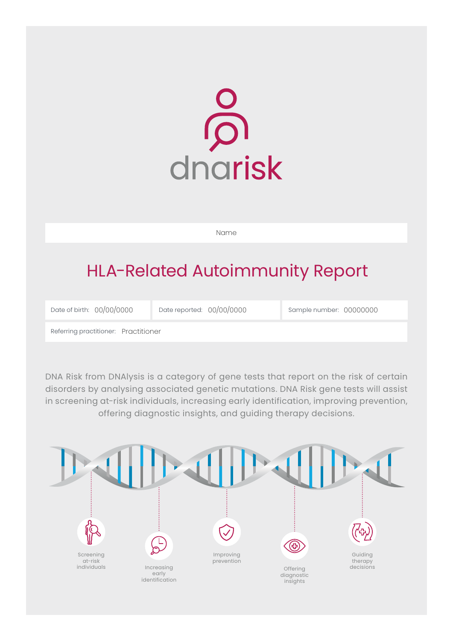

Name

# HLA-Related Autoimmunity Report

Date of birth: Date reported: Sample number: 00/00/0000 00/00/0000 00000000

Referring practitioner: Practitioner

DNA Risk from DNAlysis is a category of gene tests that report on the risk of certain disorders by analysing associated genetic mutations. DNA Risk gene tests will assist in screening at-risk individuals, increasing early identification, improving prevention, offering diagnostic insights, and guiding therapy decisions.

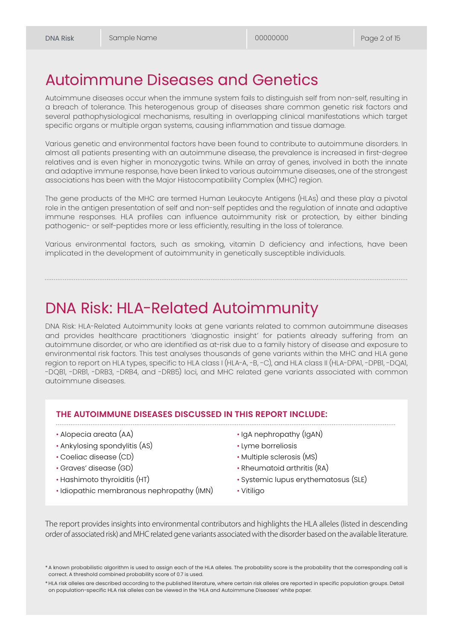## Autoimmune Diseases and Genetics

Autoimmune diseases occur when the immune system fails to distinguish self from non-self, resulting in a breach of tolerance. This heterogenous group of diseases share common genetic risk factors and several pathophysiological mechanisms, resulting in overlapping clinical manifestations which target specific organs or multiple organ systems, causing inflammation and tissue damage.

Various genetic and environmental factors have been found to contribute to autoimmune disorders. In almost all patients presenting with an autoimmune disease, the prevalence is increased in first-degree relatives and is even higher in monozygotic twins. While an array of genes, involved in both the innate and adaptive immune response, have been linked to various autoimmune diseases, one of the strongest associations has been with the Major Histocompatibility Complex (MHC) region.

The gene products of the MHC are termed Human Leukocyte Antigens (HLAs) and these play a pivotal role in the antigen presentation of self and non-self peptides and the regulation of innate and adaptive immune responses. HLA profiles can influence autoimmunity risk or protection, by either binding pathogenic- or self-peptides more or less efficiently, resulting in the loss of tolerance.

Various environmental factors, such as smoking, vitamin D deficiency and infections, have been implicated in the development of autoimmunity in genetically susceptible individuals.

# DNA Risk: HLA-Related Autoimmunity

DNA Risk: HLA-Related Autoimmunity looks at gene variants related to common autoimmune diseases and provides healthcare practitioners 'diagnostic insight' for patients already suffering from an autoimmune disorder, or who are identified as at-risk due to a family history of disease and exposure to environmental risk factors. This test analyses thousands of gene variants within the MHC and HLA gene region to report on HLA types, specific to HLA class I (HLA-A, -B, -C), and HLA class II (HLA-DPA1, -DPB1, -DOA1, -DQB1, -DRB1, -DRB3, -DRB4, and -DRB5) loci, and MHC related gene variants associated with common autoimmune diseases.

#### **THE AUTOIMMUNE DISEASES DISCUSSED IN THIS REPORT INCLUDE:**

• Alopecia areata (AA)

- Ankylosing spondylitis (AS)
- Coeliac disease (CD)
- Graves' disease (GD)
- Hashimoto thyroiditis (HT)
- Idiopathic membranous nephropathy (IMN)
- IgA nephropathy (IgAN)
- Lyme borreliosis
- Multiple sclerosis (MS)
- Rheumatoid arthritis (RA)
- Systemic lupus erythematosus (SLE)

• Vitiligo

The report provides insights into environmental contributors and highlights the HLA alleles (listed in descending order of associated risk) and MHC related gene variants associated with the disorder based on the available literature.

<sup>\*</sup> A known probabilistic algorithm is used to assign each of the HLA alleles. The probability score is the probability that the corresponding call is correct. A threshold combined probability score of 0.7 is used.

<sup>\*</sup> HLA risk alleles are described according to the published literature, where certain risk alleles are reported in specific population groups. Detail on population-specific HLA risk alleles can be viewed in the 'HLA and Autoimmune Diseases' white paper.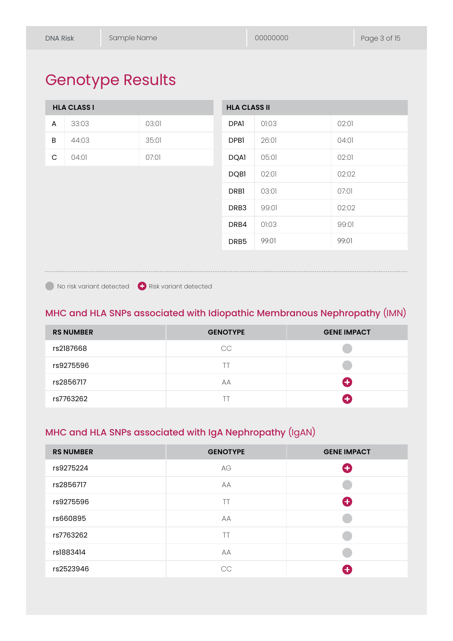# Genotype Results

|   | <b>HLA CLASS I</b> |       | <b>HLA CLASS II</b> |       |       |
|---|--------------------|-------|---------------------|-------|-------|
| A | 33:03              | 03:01 | <b>DPAI</b>         | 01:03 | 02:01 |
| B | 44:03              | 35:01 | DPB <sub>1</sub>    | 26:01 | 04:01 |
| C | 04:01              | 07:01 | <b>DQAI</b>         | 05:01 | 02:01 |
|   |                    |       | <b>DQBI</b>         | 02:01 | 02:02 |
|   |                    |       | <b>DRBI</b>         | 03:01 | 07:01 |
|   |                    |       | DRB3                | 99:01 | 02:02 |
|   |                    |       | DRB4                | 01:03 | 99:01 |
|   |                    |       | DRB <sub>5</sub>    | 99:01 | 99:01 |
|   |                    |       |                     |       |       |

No risk variant detected **C** Risk variant detected

### MHC and HLA SNPs associated with Idiopathic Membranous Nephropathy (IMN)

| <b>RS NUMBER</b> | <b>GENOTYPE</b> | <b>GENE IMPACT</b> |
|------------------|-----------------|--------------------|
| rs2187668        | CC              |                    |
| rs9275596        |                 |                    |
| rs2856717        | АA              | O                  |
| rs7763262        |                 | $\ddot{}$          |

### MHC and HLA SNPs associated with IgA Nephropathy (IgAN)

| <b>RS NUMBER</b> | <b>GENOTYPE</b> | <b>GENE IMPACT</b> |
|------------------|-----------------|--------------------|
| rs9275224        | AG              | O                  |
| rs2856717        | AA              |                    |
| rs9275596        | TT              | O                  |
| rs660895         | AA              |                    |
| rs7763262        | TT              |                    |
| rs1883414        | AA              |                    |
| rs2523946        | CC              | $\ddot{}$          |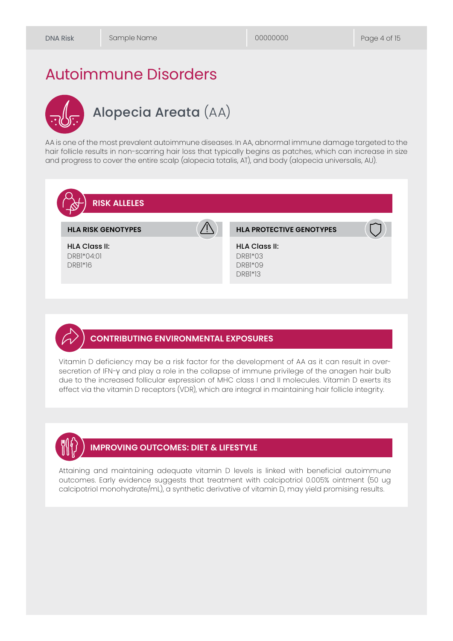## Autoimmune Disorders

# Alopecia Areata (AA)

AA is one of the most prevalent autoimmune diseases. In AA, abnormal immune damage targeted to the hair follicle results in non-scarring hair loss that typically begins as patches, which can increase in size and progress to cover the entire scalp (alopecia totalis, AT), and body (alopecia universalis, AU).



#### **CONTRIBUTING ENVIRONMENTAL EXPOSURES**

Vitamin D deficiency may be a risk factor for the development of AA as it can result in oversecretion of IFN-γ and play a role in the collapse of immune privilege of the anagen hair bulb due to the increased follicular expression of MHC class I and II molecules. Vitamin D exerts its effect via the vitamin D receptors (VDR), which are integral in maintaining hair follicle integrity.



#### **IMPROVING OUTCOMES: DIET & LIFESTYLE**

Attaining and maintaining adequate vitamin D levels is linked with beneficial autoimmune outcomes. Early evidence suggests that treatment with calcipotriol 0.005% ointment (50 ug calcipotriol monohydrate/mL), a synthetic derivative of vitamin D, may yield promising results.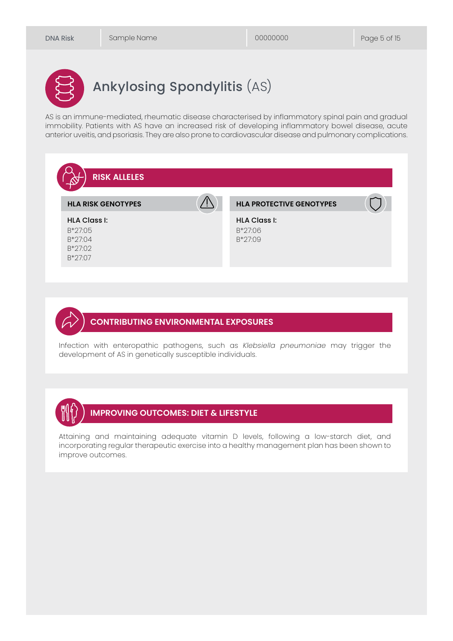# Ankylosing Spondylitis (AS)

AS is an immune-mediated, rheumatic disease characterised by inflammatory spinal pain and gradual immobility. Patients with AS have an increased risk of developing inflammatory bowel disease, acute anterior uveitis, and psoriasis. They are also prone to cardiovascular disease and pulmonary complications.



#### **CONTRIBUTING ENVIRONMENTAL EXPOSURES**

Infection with enteropathic pathogens, such as *Klebsiella pneumoniae* may trigger the development of AS in genetically susceptible individuals.



### **IMPROVING OUTCOMES: DIET & LIFESTYLE**

Attaining and maintaining adequate vitamin D levels, following a low-starch diet, and incorporating regular therapeutic exercise into a healthy management plan has been shown to improve outcomes.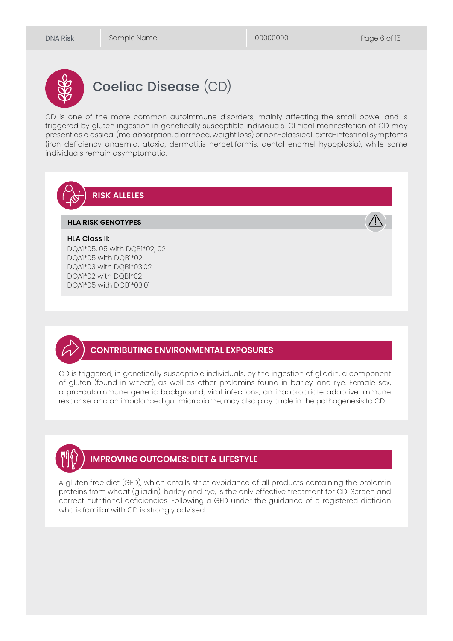

# Coeliac Disease (CD)

CD is one of the more common autoimmune disorders, mainly affecting the small bowel and is triggered by gluten ingestion in genetically susceptible individuals. Clinical manifestation of CD may present as classical (malabsorption, diarrhoea, weight loss) or non-classical, extra-intestinal symptoms (iron-deficiency anaemia, ataxia, dermatitis herpetiformis, dental enamel hypoplasia), while some individuals remain asymptomatic.



DQA1\*05, 05 with DQB1\*02, 02 DQA1\*05 with DQB1\*02 DQA1\*03 with DQB1\*03:02 DQA1\*02 with DQB1\*02 DQA1\*05 with DQB1\*03:01

### **CONTRIBUTING ENVIRONMENTAL EXPOSURES**

CD is triggered, in genetically susceptible individuals, by the ingestion of gliadin, a component of gluten (found in wheat), as well as other prolamins found in barley, and rye. Female sex, a pro-autoimmune genetic background, viral infections, an inappropriate adaptive immune response, and an imbalanced gut microbiome, may also play a role in the pathogenesis to CD.



### **IMPROVING OUTCOMES: DIET & LIFESTYLE**

A gluten free diet (GFD), which entails strict avoidance of all products containing the prolamin proteins from wheat (gliadin), barley and rye, is the only effective treatment for CD. Screen and correct nutritional deficiencies. Following a GFD under the guidance of a registered dietician who is familiar with CD is strongly advised.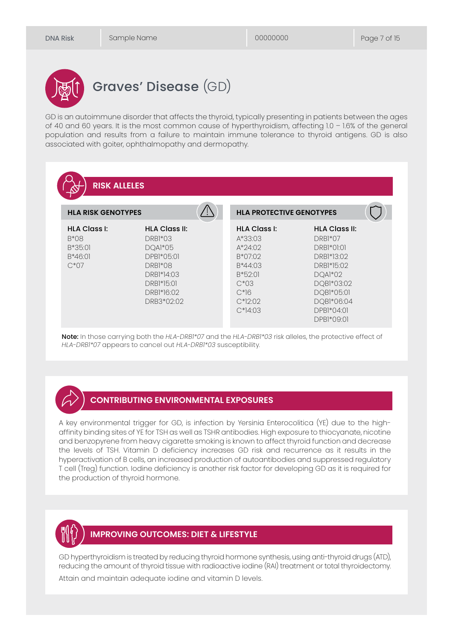

# Graves' Disease (GD)

GD is an autoimmune disorder that affects the thyroid, typically presenting in patients between the ages of 40 and 60 years. It is the most common cause of hyperthyroidism, affecting 1.0 – 1.6% of the general population and results from a failure to maintain immune tolerance to thyroid antigens. GD is also associated with goiter, ophthalmopathy and dermopathy.



Note: In those carrying both the *HLA-DRB1\*07* and the *HLA-DRB1\*03* risk alleles, the protective effect of *HLA-DRB1\*07* appears to cancel out *HLA-DRB1\*03* susceptibility.

#### **CONTRIBUTING ENVIRONMENTAL EXPOSURES**

A key environmental trigger for GD, is infection by Yersinia Enterocolitica (YE) due to the highaffinity binding sites of YE for TSH as well as TSHR antibodies. High exposure to thiocyanate, nicotine and benzopyrene from heavy cigarette smoking is known to affect thyroid function and decrease the levels of TSH. Vitamin D deficiency increases GD risk and recurrence as it results in the hyperactivation of B cells, an increased production of autoantibodies and suppressed regulatory T cell (Treg) function. Iodine deficiency is another risk factor for developing GD as it is required for the production of thyroid hormone.



#### **IMPROVING OUTCOMES: DIET & LIFESTYLE**

GD hyperthyroidism is treated by reducing thyroid hormone synthesis, using anti-thyroid drugs (ATD), reducing the amount of thyroid tissue with radioactive iodine (RAI) treatment or total thyroidectomy.

Attain and maintain adequate iodine and vitamin D levels.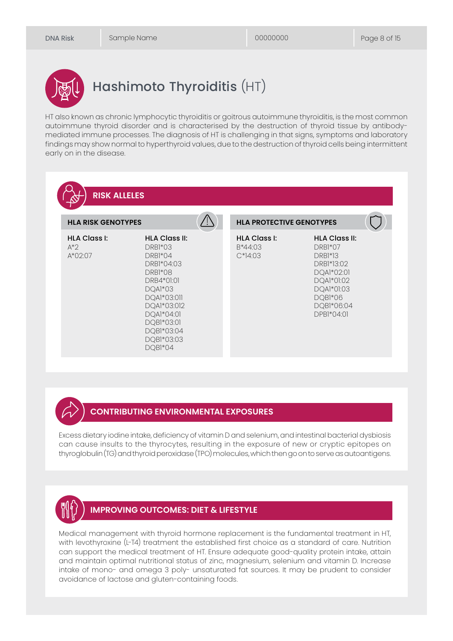

# Hashimoto Thyroiditis (HT)

HT also known as chronic lymphocytic thyroiditis or goitrous autoimmune thyroiditis, is the most common autoimmune thyroid disorder and is characterised by the destruction of thyroid tissue by antibodymediated immune processes. The diagnosis of HT is challenging in that signs, symptoms and laboratory findings may show normal to hyperthyroid values, due to the destruction of thyroid cells being intermittent early on in the disease.

| <b>RISK ALLELES</b><br><b>HLA RISK GENOTYPES</b> |                                                                                                                                                                                               | <b>HLA PROTECTIVE GENOTYPES</b>             |                                                                                                                                                  |
|--------------------------------------------------|-----------------------------------------------------------------------------------------------------------------------------------------------------------------------------------------------|---------------------------------------------|--------------------------------------------------------------------------------------------------------------------------------------------------|
| <b>HLA Class I:</b><br>$A^*$<br>$A*02:07$        | <b>HLA Class II:</b><br>DRB1*03<br>DRB1*04<br>DRB1*04:03<br>DRB1*08<br>DRB4*01:01<br>DQA1*03<br>DQA1*03:011<br>DQA1*03:012<br>DQA1*04:01<br>DQB1*03:01<br>DQB1*03:04<br>DQB1*03:03<br>DQB1*04 | <b>HLA Class I:</b><br>B*44:03<br>$C*14:03$ | <b>HLA Class II:</b><br>DRB1*07<br><b>DRB1*13</b><br>DRB1*13:02<br>DQA1*02:01<br>DQA1*01:02<br>DQA1*01:03<br>DQB1*06<br>DQB1*06:04<br>DPB1*04:01 |

#### **CONTRIBUTING ENVIRONMENTAL EXPOSURES**

Excess dietary iodine intake, deficiency of vitamin D and selenium, and intestinal bacterial dysbiosis can cause insults to the thyrocytes, resulting in the exposure of new or cryptic epitopes on thyroglobulin (TG) and thyroid peroxidase (TPO) molecules, which then go on to serve as autoantigens.



#### **IMPROVING OUTCOMES: DIET & LIFESTYLE**

Medical management with thyroid hormone replacement is the fundamental treatment in HT, with levothyroxine (L-T4) treatment the established first choice as a standard of care. Nutrition can support the medical treatment of HT. Ensure adequate good-quality protein intake, attain and maintain optimal nutritional status of zinc, magnesium, selenium and vitamin D. Increase intake of mono- and omega 3 poly- unsaturated fat sources. It may be prudent to consider avoidance of lactose and gluten-containing foods.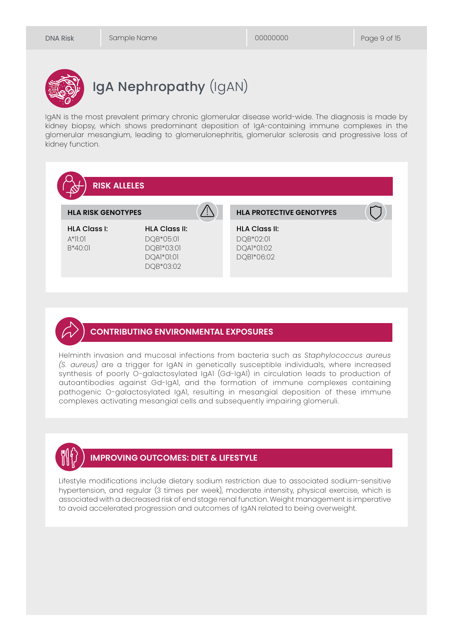

# IgA Nephropathy (IgAN)

IgAN is the most prevalent primary chronic glomerular disease world-wide. The diagnosis is made by kidney biopsy, which shows predominant deposition of IgA-containing immune complexes in the glomerular mesangium, leading to glomerulonephritis, glomerular sclerosis and progressive loss of kidney function.





Helminth invasion and mucosal infections from bacteria such as *Staphylococcus aureus (S. aureus)* are a trigger for IgAN in genetically susceptible individuals, where increased synthesis of poorly O-galactosylated IgA1 (Gd-IgA1) in circulation leads to production of autoantibodies against Gd-IgA1, and the formation of immune complexes containing pathogenic O-galactosylated IgA1, resulting in mesangial deposition of these immune complexes activating mesangial cells and subsequently impairing glomeruli.



### **IMPROVING OUTCOMES: DIET & LIFESTYLE**

Lifestyle modifications include dietary sodium restriction due to associated sodium-sensitive hypertension, and regular (3 times per week), moderate intensity, physical exercise, which is associated with a decreased risk of end stage renal function. Weight management is imperative to avoid accelerated progression and outcomes of IgAN related to being overweight.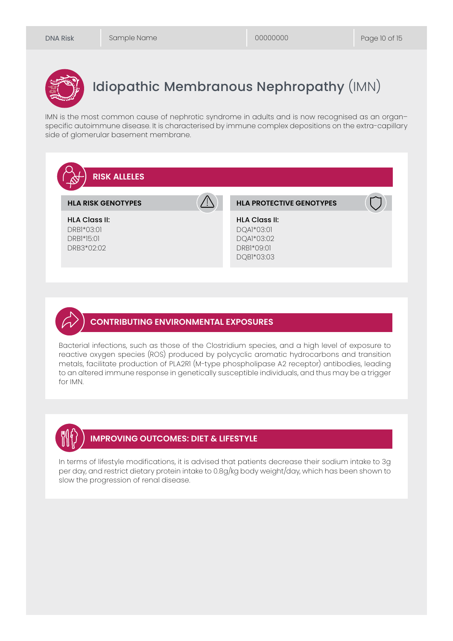

# Idiopathic Membranous Nephropathy (IMN)

IMN is the most common cause of nephrotic syndrome in adults and is now recognised as an organ– specific autoimmune disease. It is characterised by immune complex depositions on the extra-capillary side of glomerular basement membrane.



#### **CONTRIBUTING ENVIRONMENTAL EXPOSURES**

Bacterial infections, such as those of the Clostridium species, and a high level of exposure to reactive oxygen species (ROS) produced by polycyclic aromatic hydrocarbons and transition metals, facilitate production of PLA2R1 (M-type phospholipase A2 receptor) antibodies, leading to an altered immune response in genetically susceptible individuals, and thus may be a trigger for IMN.



#### **IMPROVING OUTCOMES: DIET & LIFESTYLE**

In terms of lifestyle modifications, it is advised that patients decrease their sodium intake to 3g per day, and restrict dietary protein intake to 0.8g/kg body weight/day, which has been shown to slow the progression of renal disease.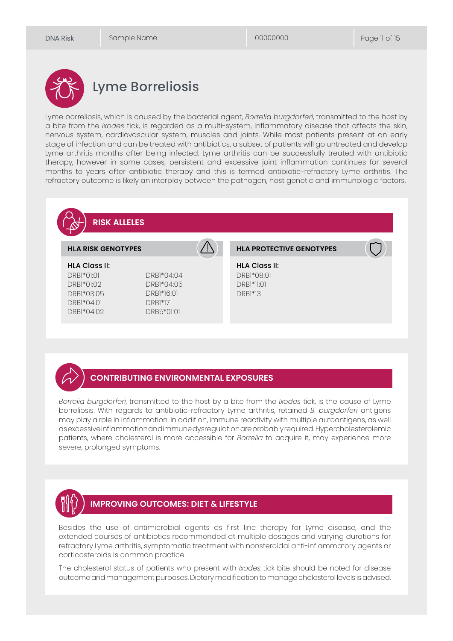

## Lyme Borreliosis

Lyme borreliosis, which is caused by the bacterial agent, *Borrelia burgdorferi*, transmitted to the host by a bite from the *Ixodes* tick, is regarded as a multi-system, inflammatory disease that affects the skin, nervous system, cardiovascular system, muscles and joints. While most patients present at an early stage of infection and can be treated with antibiotics, a subset of patients will go untreated and develop Lyme arthritis months after being infected. Lyme arthritis can be successfully treated with antibiotic therapy, however in some cases, persistent and excessive joint inflammation continues for several months to years after antibiotic therapy and this is termed antibiotic-refractory Lyme arthritis. The refractory outcome is likely an interplay between the pathogen, host genetic and immunologic factors.



#### **CONTRIBUTING ENVIRONMENTAL EXPOSURES**

*Borrelia burgdorferi*, transmitted to the host by a bite from the *Ixodes* tick, is the cause of Lyme borreliosis. With regards to antibiotic-refractory Lyme arthritis, retained *B. burgdorferi* antigens may play a role in inflammation. In addition, immune reactivity with multiple autoantigens, as well as excessive inflammation and immune dysregulation are probably required. Hypercholesterolemic patients, where cholesterol is more accessible for *Borrelia* to acquire it, may experience more severe, prolonged symptoms.



#### **IMPROVING OUTCOMES: DIET & LIFESTYLE**

Besides the use of antimicrobial agents as first line therapy for Lyme disease, and the extended courses of antibiotics recommended at multiple dosages and varying durations for refractory Lyme arthritis, symptomatic treatment with nonsteroidal anti-inflammatory agents or corticosteroids is common practice.

The cholesterol status of patients who present with *Ixodes* tick bite should be noted for disease outcome and management purposes. Dietary modification to manage cholesterol levels is advised.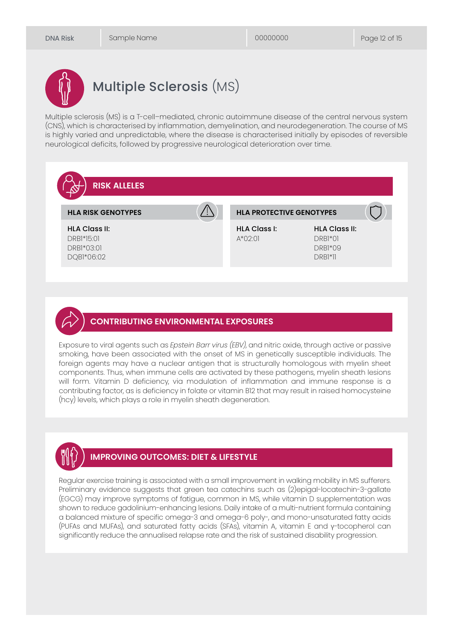

# Multiple Sclerosis (MS)

Multiple sclerosis (MS) is a T-cell–mediated, chronic autoimmune disease of the central nervous system (CNS), which is characterised by inflammation, demyelination, and neurodegeneration. The course of MS is highly varied and unpredictable, where the disease is characterised initially by episodes of reversible neurological deficits, followed by progressive neurological deterioration over time.



#### **CONTRIBUTING ENVIRONMENTAL EXPOSURES**

Exposure to viral agents such as *Epstein Barr virus (EBV)*, and nitric oxide, through active or passive smoking, have been associated with the onset of MS in genetically susceptible individuals. The foreign agents may have a nuclear antigen that is structurally homologous with myelin sheet components. Thus, when immune cells are activated by these pathogens, myelin sheath lesions will form. Vitamin D deficiency, via modulation of inflammation and immune response is a contributing factor, as is deficiency in folate or vitamin B12 that may result in raised homocysteine (hcy) levels, which plays a role in myelin sheath degeneration.



### **IMPROVING OUTCOMES: DIET & LIFESTYLE**

Regular exercise training is associated with a small improvement in walking mobility in MS sufferers. Preliminary evidence suggests that green tea catechins such as (2)epigal-locatechin-3-gallate (EGCG) may improve symptoms of fatigue, common in MS, while vitamin D supplementation was shown to reduce gadolinium-enhancing lesions. Daily intake of a multi-nutrient formula containing a balanced mixture of specific omega-3 and omega-6 poly-, and mono-unsaturated fatty acids (PUFAs and MUFAs), and saturated fatty acids (SFAs), vitamin A, vitamin E and γ-tocopherol can significantly reduce the annualised relapse rate and the risk of sustained disability progression.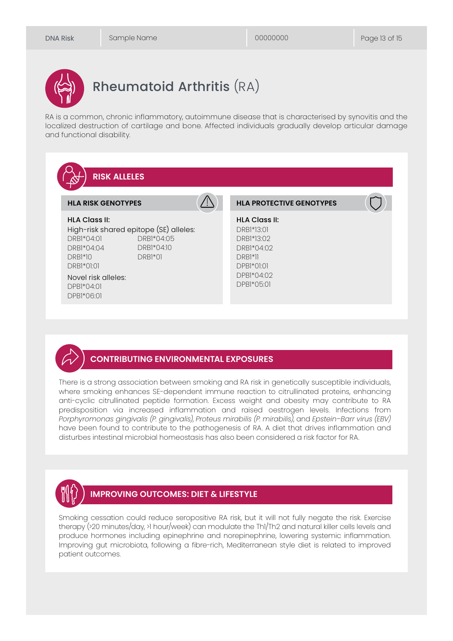# Rheumatoid Arthritis (RA)

RA is a common, chronic inflammatory, autoimmune disease that is characterised by synovitis and the localized destruction of cartilage and bone. Affected individuals gradually develop articular damage and functional disability.



#### **CONTRIBUTING ENVIRONMENTAL EXPOSURES**

There is a strong association between smoking and RA risk in genetically susceptible individuals, where smoking enhances SE-dependent immune reaction to citrullinated proteins, enhancing anti-cyclic citrullinated peptide formation. Excess weight and obesity may contribute to RA predisposition via increased inflammation and raised oestrogen levels. Infections from *Porphyromonas gingivalis (P. gingivalis)*, *Proteus mirabilis (P. mirabilis)*, and *Epstein–Barr virus (EBV)* have been found to contribute to the pathogenesis of RA. A diet that drives inflammation and disturbes intestinal microbial homeostasis has also been considered a risk factor for RA.



#### **IMPROVING OUTCOMES: DIET & LIFESTYLE**

Smoking cessation could reduce seropositive RA risk, but it will not fully negate the risk. Exercise therapy (>20 minutes/day, >1 hour/week) can modulate the Th1/Th2 and natural killer cells levels and produce hormones including epinephrine and norepinephrine, lowering systemic inflammation. Improving gut microbiota, following a fibre-rich, Mediterranean style diet is related to improved patient outcomes.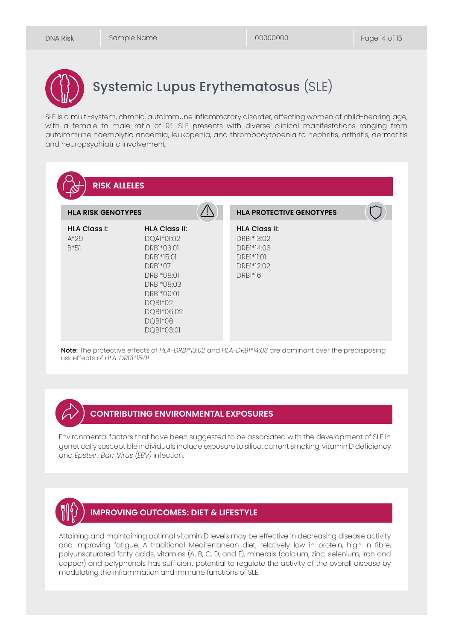

# Systemic Lupus Erythematosus (SLE)

SLE is a multi-system, chronic, autoimmune inflammatory disorder, affecting women of child-bearing age, with a female to male ratio of 9:1. SLE presents with diverse clinical manifestations ranging from autoimmune haemolytic anaemia, leukopenia, and thrombocytopenia to nephritis, arthritis, dermatitis and neuropsychiatric involvement.



Note: The protective effects of *HLA-DRB1\*13:02* and *HLA-DRB1\*14:03* are dominant over the predisposing risk effects of *HLA-DRB1\*15:01* 

#### **CONTRIBUTING ENVIRONMENTAL EXPOSURES**

Environmental factors that have been suggested to be associated with the development of SLE in genetically susceptible individuals include exposure to silica, current smoking, vitamin D deficiency and *Epstein Barr Virus (EBV)* infection.



#### **IMPROVING OUTCOMES: DIET & LIFESTYLE**

Attaining and maintaining optimal vitamin D levels may be effective in decreasing disease activity and improving fatigue. A traditional Mediterranean diet, relatively low in protein, hiah in fibre, polyunsaturated fatty acids, vitamins (A, B, C, D, and E), minerals (calcium, zinc, selenium, iron and copper) and polyphenols has sufficient potential to regulate the activity of the overall disease by modulating the inflammation and immune functions of SLE.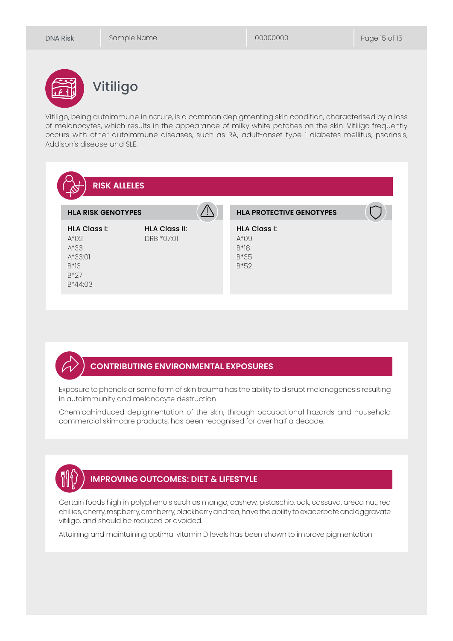

# Vitiligo

Vitiligo, being autoimmune in nature, is a common depigmenting skin condition, characterised by a loss of melanocytes, which results in the appearance of milky white patches on the skin. Vitiligo frequently occurs with other autoimmune diseases, such as RA, adult-onset type 1 diabetes mellitus, psoriasis, Addison's disease and SLE.

| <b>HLA RISK GENOTYPES</b>                                                           |                                    | <b>HLA PROTECTIVE GENOTYPES</b>                                    |  |
|-------------------------------------------------------------------------------------|------------------------------------|--------------------------------------------------------------------|--|
| <b>HLA Class I:</b><br>$A*02$<br>$A*33$<br>$A*33:01$<br>$B^*3$<br>$B*27$<br>B*44:03 | <b>HLA Class II:</b><br>DRB1*07:01 | <b>HLA Class I:</b><br>$A^*$ 09<br>$B^*$ $B^*$<br>$B*35$<br>$B*52$ |  |

#### **CONTRIBUTING ENVIRONMENTAL EXPOSURES**

Exposure to phenols or some form of skin trauma has the ability to disrupt melanogenesis resulting in autoimmunity and melanocyte destruction.

Chemical-induced depigmentation of the skin, through occupational hazards and household commercial skin-care products, has been recognised for over half a decade.



### **IMPROVING OUTCOMES: DIET & LIFESTYLE**

Certain foods high in polyphenols such as mango, cashew, pistaschio, oak, cassava, areca nut, red chillies, cherry, raspberry, cranberry, blackberry and tea, have the ability to exacerbate and aggravate vitiligo, and should be reduced or avoided.

Attaining and maintaining optimal vitamin D levels has been shown to improve pigmentation.